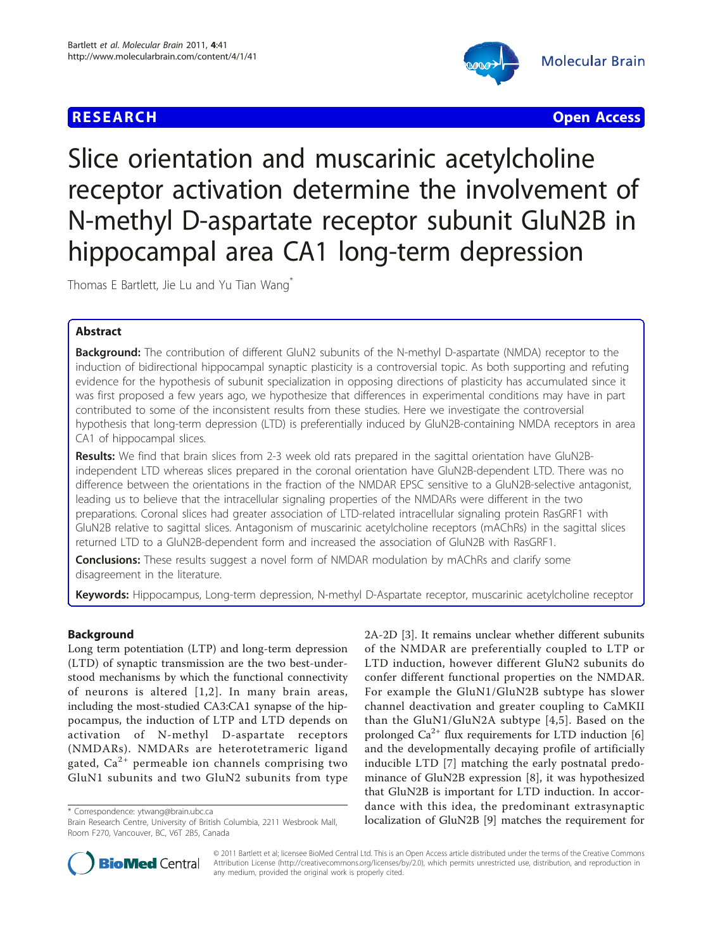# **RESEARCH CHRISTIAN CONTROL**



Slice orientation and muscarinic acetylcholine receptor activation determine the involvement of N-methyl D-aspartate receptor subunit GluN2B in hippocampal area CA1 long-term depression

Thomas E Bartlett, Jie Lu and Yu Tian Wang<sup>\*</sup>

## Abstract

**Background:** The contribution of different GluN2 subunits of the N-methyl D-aspartate (NMDA) receptor to the induction of bidirectional hippocampal synaptic plasticity is a controversial topic. As both supporting and refuting evidence for the hypothesis of subunit specialization in opposing directions of plasticity has accumulated since it was first proposed a few years ago, we hypothesize that differences in experimental conditions may have in part contributed to some of the inconsistent results from these studies. Here we investigate the controversial hypothesis that long-term depression (LTD) is preferentially induced by GluN2B-containing NMDA receptors in area CA1 of hippocampal slices.

Results: We find that brain slices from 2-3 week old rats prepared in the sagittal orientation have GluN2Bindependent LTD whereas slices prepared in the coronal orientation have GluN2B-dependent LTD. There was no difference between the orientations in the fraction of the NMDAR EPSC sensitive to a GluN2B-selective antagonist, leading us to believe that the intracellular signaling properties of the NMDARs were different in the two preparations. Coronal slices had greater association of LTD-related intracellular signaling protein RasGRF1 with GluN2B relative to sagittal slices. Antagonism of muscarinic acetylcholine receptors (mAChRs) in the sagittal slices returned LTD to a GluN2B-dependent form and increased the association of GluN2B with RasGRF1.

**Conclusions:** These results suggest a novel form of NMDAR modulation by mAChRs and clarify some disagreement in the literature.

Keywords: Hippocampus, Long-term depression, N-methyl D-Aspartate receptor, muscarinic acetylcholine receptor

## Background

Long term potentiation (LTP) and long-term depression (LTD) of synaptic transmission are the two best-understood mechanisms by which the functional connectivity of neurons is altered [[1,2\]](#page-6-0). In many brain areas, including the most-studied CA3:CA1 synapse of the hippocampus, the induction of LTP and LTD depends on activation of N-methyl D-aspartate receptors (NMDARs). NMDARs are heterotetrameric ligand gated,  $Ca^{2+}$  permeable ion channels comprising two GluN1 subunits and two GluN2 subunits from type

2A-2D [[3](#page-6-0)]. It remains unclear whether different subunits of the NMDAR are preferentially coupled to LTP or LTD induction, however different GluN2 subunits do confer different functional properties on the NMDAR. For example the GluN1/GluN2B subtype has slower channel deactivation and greater coupling to CaMKII than the GluN1/GluN2A subtype [[4](#page-6-0),[5\]](#page-6-0). Based on the prolonged  $Ca^{2+}$  flux requirements for LTD induction [[6](#page-6-0)] and the developmentally decaying profile of artificially inducible LTD [\[7\]](#page-6-0) matching the early postnatal predominance of GluN2B expression [[8\]](#page-6-0), it was hypothesized that GluN2B is important for LTD induction. In accordance with this idea, the predominant extrasynaptic torrespondence: [ytwang@brain.ubc.ca](mailto:ytwang@brain.ubc.ca)<br>Brain Research Centre, University of British Columbia, 2211 Wesbrook Mall, **bologer than the GluN2B** [\[9](#page-6-0)] matches the requirement for



© 2011 Bartlett et al; licensee BioMed Central Ltd. This is an Open Access article distributed under the terms of the Creative Commons Attribution License [\(http://creativecommons.org/licenses/by/2.0](http://creativecommons.org/licenses/by/2.0)), which permits unrestricted use, distribution, and reproduction in any medium, provided the original work is properly cited.

Brain Research Centre, University of British Columbia, 2211 Wesbrook Mall, Room F270, Vancouver, BC, V6T 2B5, Canada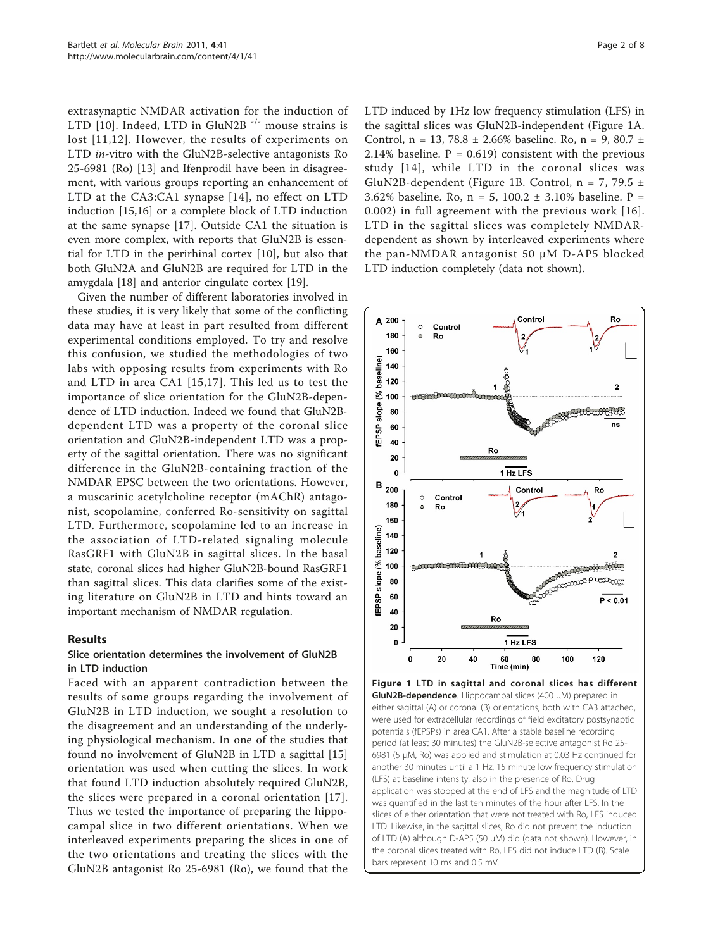extrasynaptic NMDAR activation for the induction of LTD [[10](#page-6-0)]. Indeed, LTD in GluN2B<sup>-/-</sup> mouse strains is lost [[11,12\]](#page-6-0). However, the results of experiments on LTD in-vitro with the GluN2B-selective antagonists Ro 25-6981 (Ro) [[13\]](#page-6-0) and Ifenprodil have been in disagreement, with various groups reporting an enhancement of LTD at the CA3:CA1 synapse [[14\]](#page-6-0), no effect on LTD induction [[15](#page-6-0),[16](#page-6-0)] or a complete block of LTD induction at the same synapse [[17\]](#page-6-0). Outside CA1 the situation is even more complex, with reports that GluN2B is essential for LTD in the perirhinal cortex [[10\]](#page-6-0), but also that both GluN2A and GluN2B are required for LTD in the amygdala [\[18\]](#page-6-0) and anterior cingulate cortex [[19\]](#page-6-0).

Given the number of different laboratories involved in these studies, it is very likely that some of the conflicting data may have at least in part resulted from different experimental conditions employed. To try and resolve this confusion, we studied the methodologies of two labs with opposing results from experiments with Ro and LTD in area CA1 [[15](#page-6-0),[17](#page-6-0)]. This led us to test the importance of slice orientation for the GluN2B-dependence of LTD induction. Indeed we found that GluN2Bdependent LTD was a property of the coronal slice orientation and GluN2B-independent LTD was a property of the sagittal orientation. There was no significant difference in the GluN2B-containing fraction of the NMDAR EPSC between the two orientations. However, a muscarinic acetylcholine receptor (mAChR) antagonist, scopolamine, conferred Ro-sensitivity on sagittal LTD. Furthermore, scopolamine led to an increase in the association of LTD-related signaling molecule RasGRF1 with GluN2B in sagittal slices. In the basal state, coronal slices had higher GluN2B-bound RasGRF1 than sagittal slices. This data clarifies some of the existing literature on GluN2B in LTD and hints toward an important mechanism of NMDAR regulation.

## Results

### Slice orientation determines the involvement of GluN2B in LTD induction

Faced with an apparent contradiction between the results of some groups regarding the involvement of GluN2B in LTD induction, we sought a resolution to the disagreement and an understanding of the underlying physiological mechanism. In one of the studies that found no involvement of GluN2B in LTD a sagittal [[15](#page-6-0)] orientation was used when cutting the slices. In work that found LTD induction absolutely required GluN2B, the slices were prepared in a coronal orientation [[17](#page-6-0)]. Thus we tested the importance of preparing the hippocampal slice in two different orientations. When we interleaved experiments preparing the slices in one of the two orientations and treating the slices with the GluN2B antagonist Ro 25-6981 (Ro), we found that the LTD induced by 1Hz low frequency stimulation (LFS) in the sagittal slices was GluN2B-independent (Figure 1A. Control, n = 13, 78.8  $\pm$  2.66% baseline. Ro, n = 9, 80.7  $\pm$ 2.14% baseline.  $P = 0.619$  consistent with the previous study [[14](#page-6-0)], while LTD in the coronal slices was GluN2B-dependent (Figure 1B. Control,  $n = 7, 79.5 \pm$ 3.62% baseline. Ro,  $n = 5$ , 100.2  $\pm$  3.10% baseline. P = 0.002) in full agreement with the previous work [[16\]](#page-6-0). LTD in the sagittal slices was completely NMDARdependent as shown by interleaved experiments where the pan-NMDAR antagonist 50 μM D-AP5 blocked LTD induction completely (data not shown).



potentials (fEPSPs) in area CA1. After a stable baseline recording period (at least 30 minutes) the GluN2B-selective antagonist Ro 25- 6981 (5 μM, Ro) was applied and stimulation at 0.03 Hz continued for another 30 minutes until a 1 Hz, 15 minute low frequency stimulation (LFS) at baseline intensity, also in the presence of Ro. Drug application was stopped at the end of LFS and the magnitude of LTD was quantified in the last ten minutes of the hour after LFS. In the slices of either orientation that were not treated with Ro, LFS induced LTD. Likewise, in the sagittal slices, Ro did not prevent the induction of LTD (A) although D-AP5 (50 μM) did (data not shown). However, in the coronal slices treated with Ro, LFS did not induce LTD (B). Scale bars represent 10 ms and 0.5 mV.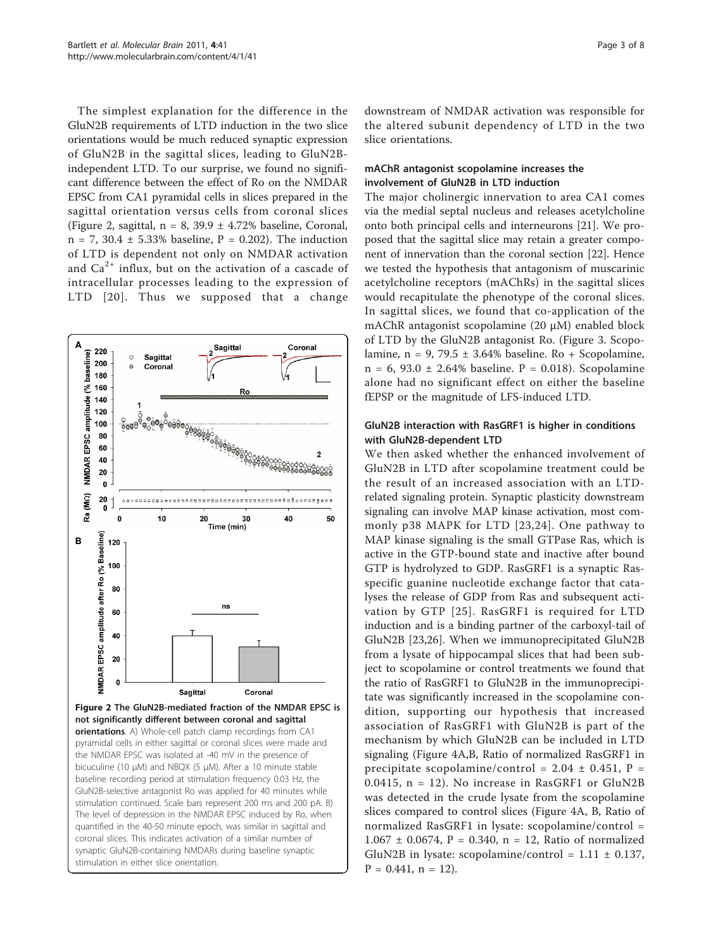<span id="page-2-0"></span>The simplest explanation for the difference in the GluN2B requirements of LTD induction in the two slice orientations would be much reduced synaptic expression of GluN2B in the sagittal slices, leading to GluN2Bindependent LTD. To our surprise, we found no significant difference between the effect of Ro on the NMDAR EPSC from CA1 pyramidal cells in slices prepared in the sagittal orientation versus cells from coronal slices (Figure 2, sagittal,  $n = 8$ , 39.9  $\pm$  4.72% baseline, Coronal, n = 7, 30.4 ± 5.33% baseline, P = 0.202). The induction of LTD is dependent not only on NMDAR activation and  $Ca<sup>2+</sup>$  influx, but on the activation of a cascade of intracellular processes leading to the expression of LTD [[20\]](#page-7-0). Thus we supposed that a change



downstream of NMDAR activation was responsible for the altered subunit dependency of LTD in the two slice orientations.

## mAChR antagonist scopolamine increases the involvement of GluN2B in LTD induction

The major cholinergic innervation to area CA1 comes via the medial septal nucleus and releases acetylcholine onto both principal cells and interneurons [\[21\]](#page-7-0). We proposed that the sagittal slice may retain a greater component of innervation than the coronal section [\[22\]](#page-7-0). Hence we tested the hypothesis that antagonism of muscarinic acetylcholine receptors (mAChRs) in the sagittal slices would recapitulate the phenotype of the coronal slices. In sagittal slices, we found that co-application of the mAChR antagonist scopolamine (20 μM) enabled block of LTD by the GluN2B antagonist Ro. (Figure [3.](#page-3-0) Scopolamine,  $n = 9$ , 79.5  $\pm$  3.64% baseline. Ro + Scopolamine, n = 6, 93.0 ± 2.64% baseline. P = 0.018). Scopolamine alone had no significant effect on either the baseline fEPSP or the magnitude of LFS-induced LTD.

## GluN2B interaction with RasGRF1 is higher in conditions with GluN2B-dependent LTD

We then asked whether the enhanced involvement of GluN2B in LTD after scopolamine treatment could be the result of an increased association with an LTDrelated signaling protein. Synaptic plasticity downstream signaling can involve MAP kinase activation, most commonly p38 MAPK for LTD [[23](#page-7-0),[24](#page-7-0)]. One pathway to MAP kinase signaling is the small GTPase Ras, which is active in the GTP-bound state and inactive after bound GTP is hydrolyzed to GDP. RasGRF1 is a synaptic Rasspecific guanine nucleotide exchange factor that catalyses the release of GDP from Ras and subsequent activation by GTP [\[25](#page-7-0)]. RasGRF1 is required for LTD induction and is a binding partner of the carboxyl-tail of GluN2B [[23,26\]](#page-7-0). When we immunoprecipitated GluN2B from a lysate of hippocampal slices that had been subject to scopolamine or control treatments we found that the ratio of RasGRF1 to GluN2B in the immunoprecipitate was significantly increased in the scopolamine condition, supporting our hypothesis that increased association of RasGRF1 with GluN2B is part of the mechanism by which GluN2B can be included in LTD signaling (Figure [4A,B,](#page-4-0) Ratio of normalized RasGRF1 in precipitate scopolamine/control =  $2.04 \pm 0.451$ , P = 0.0415,  $n = 12$ ). No increase in RasGRF1 or GluN2B was detected in the crude lysate from the scopolamine slices compared to control slices (Figure [4A, B](#page-4-0), Ratio of normalized RasGRF1 in lysate: scopolamine/control =  $1.067 \pm 0.0674$ , P = 0.340, n = 12, Ratio of normalized GluN2B in lysate: scopolamine/control =  $1.11 \pm 0.137$ ,  $P = 0.441$ ,  $n = 12$ ).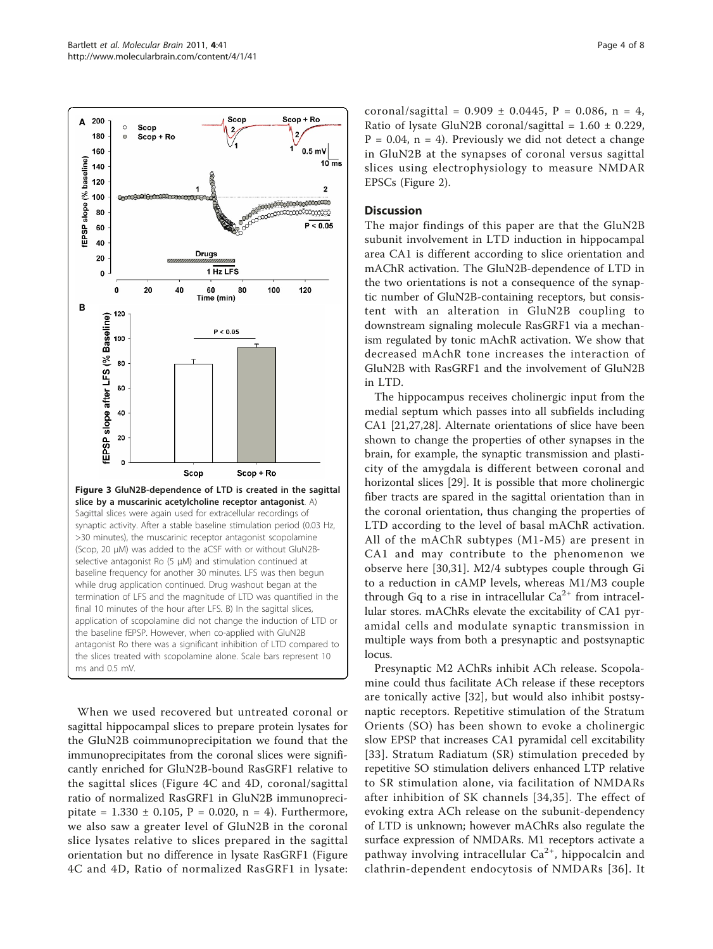<span id="page-3-0"></span>

When we used recovered but untreated coronal or sagittal hippocampal slices to prepare protein lysates for the GluN2B coimmunoprecipitation we found that the immunoprecipitates from the coronal slices were significantly enriched for GluN2B-bound RasGRF1 relative to the sagittal slices (Figure [4C](#page-4-0) and [4D](#page-4-0), coronal/sagittal ratio of normalized RasGRF1 in GluN2B immunoprecipitate =  $1.330 \pm 0.105$ , P = 0.020, n = 4). Furthermore, we also saw a greater level of GluN2B in the coronal slice lysates relative to slices prepared in the sagittal orientation but no difference in lysate RasGRF1 (Figure [4C](#page-4-0) and [4D,](#page-4-0) Ratio of normalized RasGRF1 in lysate: coronal/sagittal =  $0.909 \pm 0.0445$ , P = 0.086, n = 4, Ratio of lysate GluN2B coronal/sagittal =  $1.60 \pm 0.229$ ,  $P = 0.04$ ,  $n = 4$ ). Previously we did not detect a change in GluN2B at the synapses of coronal versus sagittal slices using electrophysiology to measure NMDAR EPSCs (Figure [2](#page-2-0)).

#### **Discussion**

The major findings of this paper are that the GluN2B subunit involvement in LTD induction in hippocampal area CA1 is different according to slice orientation and mAChR activation. The GluN2B-dependence of LTD in the two orientations is not a consequence of the synaptic number of GluN2B-containing receptors, but consistent with an alteration in GluN2B coupling to downstream signaling molecule RasGRF1 via a mechanism regulated by tonic mAchR activation. We show that decreased mAchR tone increases the interaction of GluN2B with RasGRF1 and the involvement of GluN2B in LTD.

The hippocampus receives cholinergic input from the medial septum which passes into all subfields including CA1 [[21](#page-7-0),[27](#page-7-0),[28](#page-7-0)]. Alternate orientations of slice have been shown to change the properties of other synapses in the brain, for example, the synaptic transmission and plasticity of the amygdala is different between coronal and horizontal slices [\[29\]](#page-7-0). It is possible that more cholinergic fiber tracts are spared in the sagittal orientation than in the coronal orientation, thus changing the properties of LTD according to the level of basal mAChR activation. All of the mAChR subtypes (M1-M5) are present in CA1 and may contribute to the phenomenon we observe here [[30,31\]](#page-7-0). M2/4 subtypes couple through Gi to a reduction in cAMP levels, whereas M1/M3 couple through Gq to a rise in intracellular  $Ca^{2+}$  from intracellular stores. mAChRs elevate the excitability of CA1 pyramidal cells and modulate synaptic transmission in multiple ways from both a presynaptic and postsynaptic locus.

Presynaptic M2 AChRs inhibit ACh release. Scopolamine could thus facilitate ACh release if these receptors are tonically active [[32\]](#page-7-0), but would also inhibit postsynaptic receptors. Repetitive stimulation of the Stratum Orients (SO) has been shown to evoke a cholinergic slow EPSP that increases CA1 pyramidal cell excitability [[33\]](#page-7-0). Stratum Radiatum (SR) stimulation preceded by repetitive SO stimulation delivers enhanced LTP relative to SR stimulation alone, via facilitation of NMDARs after inhibition of SK channels [[34](#page-7-0),[35](#page-7-0)]. The effect of evoking extra ACh release on the subunit-dependency of LTD is unknown; however mAChRs also regulate the surface expression of NMDARs. M1 receptors activate a pathway involving intracellular  $Ca^{2+}$ , hippocalcin and clathrin-dependent endocytosis of NMDARs [[36\]](#page-7-0). It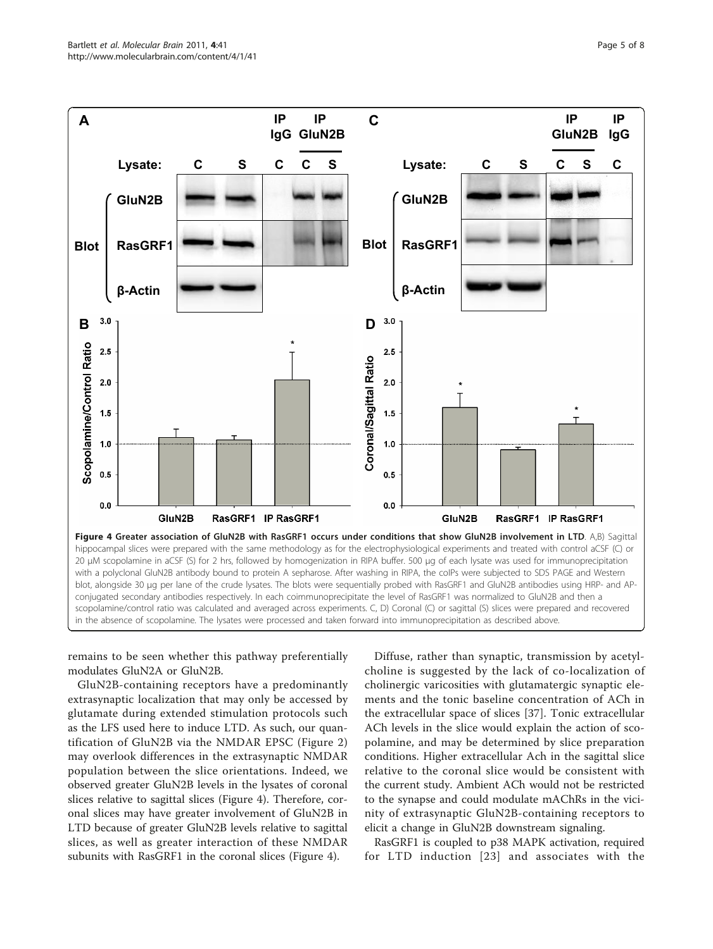<span id="page-4-0"></span>

remains to be seen whether this pathway preferentially modulates GluN2A or GluN2B.

GluN2B-containing receptors have a predominantly extrasynaptic localization that may only be accessed by glutamate during extended stimulation protocols such as the LFS used here to induce LTD. As such, our quantification of GluN2B via the NMDAR EPSC (Figure [2](#page-2-0)) may overlook differences in the extrasynaptic NMDAR population between the slice orientations. Indeed, we observed greater GluN2B levels in the lysates of coronal slices relative to sagittal slices (Figure 4). Therefore, coronal slices may have greater involvement of GluN2B in LTD because of greater GluN2B levels relative to sagittal slices, as well as greater interaction of these NMDAR subunits with RasGRF1 in the coronal slices (Figure 4).

Diffuse, rather than synaptic, transmission by acetylcholine is suggested by the lack of co-localization of cholinergic varicosities with glutamatergic synaptic elements and the tonic baseline concentration of ACh in the extracellular space of slices [\[37](#page-7-0)]. Tonic extracellular ACh levels in the slice would explain the action of scopolamine, and may be determined by slice preparation conditions. Higher extracellular Ach in the sagittal slice relative to the coronal slice would be consistent with the current study. Ambient ACh would not be restricted to the synapse and could modulate mAChRs in the vicinity of extrasynaptic GluN2B-containing receptors to elicit a change in GluN2B downstream signaling.

RasGRF1 is coupled to p38 MAPK activation, required for LTD induction [[23](#page-7-0)] and associates with the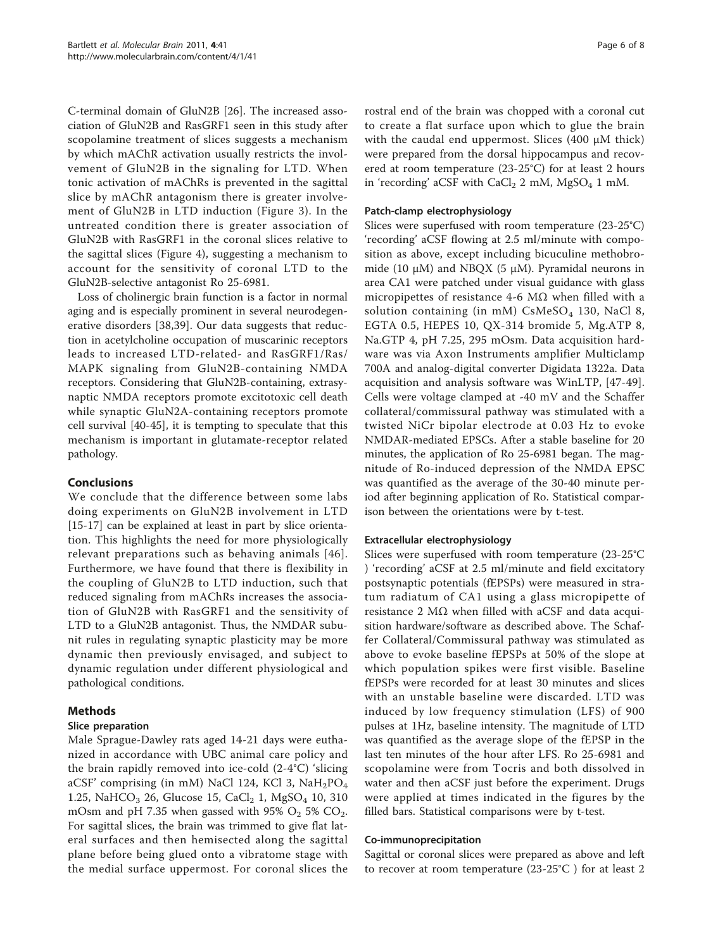C-terminal domain of GluN2B [\[26\]](#page-7-0). The increased association of GluN2B and RasGRF1 seen in this study after scopolamine treatment of slices suggests a mechanism by which mAChR activation usually restricts the involvement of GluN2B in the signaling for LTD. When tonic activation of mAChRs is prevented in the sagittal slice by mAChR antagonism there is greater involvement of GluN2B in LTD induction (Figure [3\)](#page-3-0). In the untreated condition there is greater association of GluN2B with RasGRF1 in the coronal slices relative to the sagittal slices (Figure [4\)](#page-4-0), suggesting a mechanism to account for the sensitivity of coronal LTD to the GluN2B-selective antagonist Ro 25-6981.

Loss of cholinergic brain function is a factor in normal aging and is especially prominent in several neurodegenerative disorders [[38,39](#page-7-0)]. Our data suggests that reduction in acetylcholine occupation of muscarinic receptors leads to increased LTD-related- and RasGRF1/Ras/ MAPK signaling from GluN2B-containing NMDA receptors. Considering that GluN2B-containing, extrasynaptic NMDA receptors promote excitotoxic cell death while synaptic GluN2A-containing receptors promote cell survival [\[40-45](#page-7-0)], it is tempting to speculate that this mechanism is important in glutamate-receptor related pathology.

## Conclusions

We conclude that the difference between some labs doing experiments on GluN2B involvement in LTD [[15-17\]](#page-6-0) can be explained at least in part by slice orientation. This highlights the need for more physiologically relevant preparations such as behaving animals [\[46\]](#page-7-0). Furthermore, we have found that there is flexibility in the coupling of GluN2B to LTD induction, such that reduced signaling from mAChRs increases the association of GluN2B with RasGRF1 and the sensitivity of LTD to a GluN2B antagonist. Thus, the NMDAR subunit rules in regulating synaptic plasticity may be more dynamic then previously envisaged, and subject to dynamic regulation under different physiological and pathological conditions.

## Methods

## Slice preparation

Male Sprague-Dawley rats aged 14-21 days were euthanized in accordance with UBC animal care policy and the brain rapidly removed into ice-cold (2-4°C) 'slicing aCSF' comprising (in mM) NaCl 124, KCl 3, NaH<sub>2</sub>PO<sub>4</sub> 1.25, NaHCO<sub>3</sub> 26, Glucose 15, CaCl<sub>2</sub> 1, MgSO<sub>4</sub> 10, 310 mOsm and pH 7.35 when gassed with 95%  $O_2$  5%  $CO_2$ . For sagittal slices, the brain was trimmed to give flat lateral surfaces and then hemisected along the sagittal plane before being glued onto a vibratome stage with the medial surface uppermost. For coronal slices the rostral end of the brain was chopped with a coronal cut to create a flat surface upon which to glue the brain with the caudal end uppermost. Slices (400 μM thick) were prepared from the dorsal hippocampus and recovered at room temperature (23-25°C) for at least 2 hours in 'recording' aCSF with  $CaCl<sub>2</sub> 2$  mM, MgSO<sub>4</sub> 1 mM.

### Patch-clamp electrophysiology

Slices were superfused with room temperature (23-25°C) 'recording' aCSF flowing at 2.5 ml/minute with composition as above, except including bicuculine methobromide (10  $\mu$ M) and NBQX (5  $\mu$ M). Pyramidal neurons in area CA1 were patched under visual guidance with glass micropipettes of resistance 4-6 M $\Omega$  when filled with a solution containing (in  $mM$ ) CsMeSO<sub>4</sub> 130, NaCl 8, EGTA 0.5, HEPES 10, QX-314 bromide 5, Mg.ATP 8, Na.GTP 4, pH 7.25, 295 mOsm. Data acquisition hardware was via Axon Instruments amplifier Multiclamp 700A and analog-digital converter Digidata 1322a. Data acquisition and analysis software was WinLTP, [[47-49](#page-7-0)]. Cells were voltage clamped at -40 mV and the Schaffer collateral/commissural pathway was stimulated with a twisted NiCr bipolar electrode at 0.03 Hz to evoke NMDAR-mediated EPSCs. After a stable baseline for 20 minutes, the application of Ro 25-6981 began. The magnitude of Ro-induced depression of the NMDA EPSC was quantified as the average of the 30-40 minute period after beginning application of Ro. Statistical comparison between the orientations were by t-test.

#### Extracellular electrophysiology

Slices were superfused with room temperature (23-25°C ) 'recording' aCSF at 2.5 ml/minute and field excitatory postsynaptic potentials (fEPSPs) were measured in stratum radiatum of CA1 using a glass micropipette of resistance 2 MΩ when filled with aCSF and data acquisition hardware/software as described above. The Schaffer Collateral/Commissural pathway was stimulated as above to evoke baseline fEPSPs at 50% of the slope at which population spikes were first visible. Baseline fEPSPs were recorded for at least 30 minutes and slices with an unstable baseline were discarded. LTD was induced by low frequency stimulation (LFS) of 900 pulses at 1Hz, baseline intensity. The magnitude of LTD was quantified as the average slope of the fEPSP in the last ten minutes of the hour after LFS. Ro 25-6981 and scopolamine were from Tocris and both dissolved in water and then aCSF just before the experiment. Drugs were applied at times indicated in the figures by the filled bars. Statistical comparisons were by t-test.

#### Co-immunoprecipitation

Sagittal or coronal slices were prepared as above and left to recover at room temperature (23-25°C ) for at least 2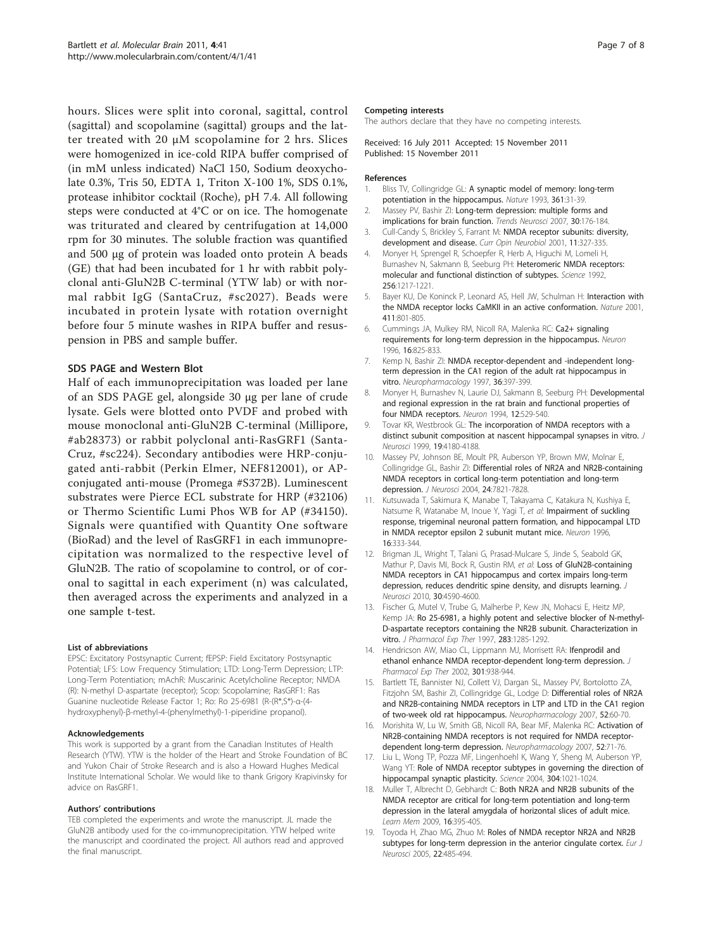<span id="page-6-0"></span>hours. Slices were split into coronal, sagittal, control (sagittal) and scopolamine (sagittal) groups and the latter treated with 20 μM scopolamine for 2 hrs. Slices were homogenized in ice-cold RIPA buffer comprised of (in mM unless indicated) NaCl 150, Sodium deoxycholate 0.3%, Tris 50, EDTA 1, Triton X-100 1%, SDS 0.1%, protease inhibitor cocktail (Roche), pH 7.4. All following steps were conducted at 4°C or on ice. The homogenate was triturated and cleared by centrifugation at 14,000 rpm for 30 minutes. The soluble fraction was quantified and 500 μg of protein was loaded onto protein A beads (GE) that had been incubated for 1 hr with rabbit polyclonal anti-GluN2B C-terminal (YTW lab) or with normal rabbit IgG (SantaCruz, #sc2027). Beads were incubated in protein lysate with rotation overnight before four 5 minute washes in RIPA buffer and resuspension in PBS and sample buffer.

### SDS PAGE and Western Blot

Half of each immunoprecipitation was loaded per lane of an SDS PAGE gel, alongside 30 μg per lane of crude lysate. Gels were blotted onto PVDF and probed with mouse monoclonal anti-GluN2B C-terminal (Millipore, #ab28373) or rabbit polyclonal anti-RasGRF1 (Santa-Cruz, #sc224). Secondary antibodies were HRP-conjugated anti-rabbit (Perkin Elmer, NEF812001), or APconjugated anti-mouse (Promega #S372B). Luminescent substrates were Pierce ECL substrate for HRP (#32106) or Thermo Scientific Lumi Phos WB for AP (#34150). Signals were quantified with Quantity One software (BioRad) and the level of RasGRF1 in each immunoprecipitation was normalized to the respective level of GluN2B. The ratio of scopolamine to control, or of coronal to sagittal in each experiment (n) was calculated, then averaged across the experiments and analyzed in a one sample t-test.

#### List of abbreviations

EPSC: Excitatory Postsynaptic Current; fEPSP: Field Excitatory Postsynaptic Potential; LFS: Low Frequency Stimulation; LTD: Long-Term Depression; LTP: Long-Term Potentiation; mAchR: Muscarinic Acetylcholine Receptor; NMDA (R): N-methyl D-aspartate (receptor); Scop: Scopolamine; RasGRF1: Ras Guanine nucleotide Release Factor 1; Ro: Ro 25-6981 (R-(R\*,S\*)-α-(4 hydroxyphenyl)-β-methyl-4-(phenylmethyl)-1-piperidine propanol).

#### Acknowledgements

This work is supported by a grant from the Canadian Institutes of Health Research (YTW). YTW is the holder of the Heart and Stroke Foundation of BC and Yukon Chair of Stroke Research and is also a Howard Hughes Medical Institute International Scholar. We would like to thank Grigory Krapivinsky for advice on RasGRF1.

#### Authors' contributions

TEB completed the experiments and wrote the manuscript. JL made the GluN2B antibody used for the co-immunoprecipitation. YTW helped write the manuscript and coordinated the project. All authors read and approved the final manuscript.

#### Competing interests

The authors declare that they have no competing interests.

Received: 16 July 2011 Accepted: 15 November 2011 Published: 15 November 2011

#### References

- 1. Bliss TV, Collingridge GL: [A synaptic model of memory: long-term](http://www.ncbi.nlm.nih.gov/pubmed/8421494?dopt=Abstract) [potentiation in the hippocampus.](http://www.ncbi.nlm.nih.gov/pubmed/8421494?dopt=Abstract) Nature 1993, 361:31-39.
- 2. Massey PV, Bashir ZI: [Long-term depression: multiple forms and](http://www.ncbi.nlm.nih.gov/pubmed/17335914?dopt=Abstract) [implications for brain function.](http://www.ncbi.nlm.nih.gov/pubmed/17335914?dopt=Abstract) Trends Neurosci 2007, 30:176-184.
- 3. Cull-Candy S, Brickley S, Farrant M: [NMDA receptor subunits: diversity,](http://www.ncbi.nlm.nih.gov/pubmed/11399431?dopt=Abstract) [development and disease.](http://www.ncbi.nlm.nih.gov/pubmed/11399431?dopt=Abstract) Curr Opin Neurobiol 2001, 11:327-335.
- 4. Monyer H, Sprengel R, Schoepfer R, Herb A, Higuchi M, Lomeli H, Burnashev N, Sakmann B, Seeburg PH: [Heteromeric NMDA receptors:](http://www.ncbi.nlm.nih.gov/pubmed/1350383?dopt=Abstract) [molecular and functional distinction of subtypes.](http://www.ncbi.nlm.nih.gov/pubmed/1350383?dopt=Abstract) Science 1992, 256:1217-1221.
- Bayer KU, De Koninck P, Leonard AS, Hell JW, Schulman H: [Interaction with](http://www.ncbi.nlm.nih.gov/pubmed/11459059?dopt=Abstract) [the NMDA receptor locks CaMKII in an active conformation.](http://www.ncbi.nlm.nih.gov/pubmed/11459059?dopt=Abstract) Nature 2001, 411:801-805.
- 6. Cummings JA, Mulkey RM, Nicoll RA, Malenka RC: [Ca2+ signaling](http://www.ncbi.nlm.nih.gov/pubmed/8608000?dopt=Abstract) [requirements for long-term depression in the hippocampus.](http://www.ncbi.nlm.nih.gov/pubmed/8608000?dopt=Abstract) Neuron 1996, 16:825-833.
- 7. Kemp N, Bashir ZI: [NMDA receptor-dependent and -independent long](http://www.ncbi.nlm.nih.gov/pubmed/9175619?dopt=Abstract)[term depression in the CA1 region of the adult rat hippocampus in](http://www.ncbi.nlm.nih.gov/pubmed/9175619?dopt=Abstract) [vitro.](http://www.ncbi.nlm.nih.gov/pubmed/9175619?dopt=Abstract) Neuropharmacology 1997, 36:397-399.
- 8. Monyer H, Burnashev N, Laurie DJ, Sakmann B, Seeburg PH: [Developmental](http://www.ncbi.nlm.nih.gov/pubmed/7512349?dopt=Abstract) [and regional expression in the rat brain and functional properties of](http://www.ncbi.nlm.nih.gov/pubmed/7512349?dopt=Abstract) [four NMDA receptors.](http://www.ncbi.nlm.nih.gov/pubmed/7512349?dopt=Abstract) Neuron 1994, 12:529-540.
- 9. Tovar KR, Westbrook GL: [The incorporation of NMDA receptors with a](http://www.ncbi.nlm.nih.gov/pubmed/10234045?dopt=Abstract) [distinct subunit composition at nascent hippocampal synapses in vitro.](http://www.ncbi.nlm.nih.gov/pubmed/10234045?dopt=Abstract) J Neurosci 1999, 19:4180-4188.
- 10. Massey PV, Johnson BE, Moult PR, Auberson YP, Brown MW, Molnar E, Collingridge GL, Bashir ZI: [Differential roles of NR2A and NR2B-containing](http://www.ncbi.nlm.nih.gov/pubmed/15356193?dopt=Abstract) [NMDA receptors in cortical long-term potentiation and long-term](http://www.ncbi.nlm.nih.gov/pubmed/15356193?dopt=Abstract) [depression.](http://www.ncbi.nlm.nih.gov/pubmed/15356193?dopt=Abstract) J Neurosci 2004, 24:7821-7828.
- 11. Kutsuwada T, Sakimura K, Manabe T, Takayama C, Katakura N, Kushiya E, Natsume R, Watanabe M, Inoue Y, Yagi T, et al: [Impairment of suckling](http://www.ncbi.nlm.nih.gov/pubmed/8789948?dopt=Abstract) [response, trigeminal neuronal pattern formation, and hippocampal LTD](http://www.ncbi.nlm.nih.gov/pubmed/8789948?dopt=Abstract) [in NMDA receptor epsilon 2 subunit mutant mice.](http://www.ncbi.nlm.nih.gov/pubmed/8789948?dopt=Abstract) Neuron 1996, 16:333-344.
- 12. Brigman JL, Wright T, Talani G, Prasad-Mulcare S, Jinde S, Seabold GK, Mathur P, Davis MI, Bock R, Gustin RM, et al: [Loss of GluN2B-containing](http://www.ncbi.nlm.nih.gov/pubmed/20357110?dopt=Abstract) [NMDA receptors in CA1 hippocampus and cortex impairs long-term](http://www.ncbi.nlm.nih.gov/pubmed/20357110?dopt=Abstract) [depression, reduces dendritic spine density, and disrupts learning.](http://www.ncbi.nlm.nih.gov/pubmed/20357110?dopt=Abstract) J Neurosci 2010, 30:4590-4600.
- 13. Fischer G, Mutel V, Trube G, Malherbe P, Kew JN, Mohacsi E, Heitz MP, Kemp JA: [Ro 25-6981, a highly potent and selective blocker of N-methyl-](http://www.ncbi.nlm.nih.gov/pubmed/9400004?dopt=Abstract)[D-aspartate receptors containing the NR2B subunit. Characterization in](http://www.ncbi.nlm.nih.gov/pubmed/9400004?dopt=Abstract) [vitro.](http://www.ncbi.nlm.nih.gov/pubmed/9400004?dopt=Abstract) J Pharmacol Exp Ther 1997, 283:1285-1292.
- 14. Hendricson AW, Miao CL, Lippmann MJ, Morrisett RA: [Ifenprodil and](http://www.ncbi.nlm.nih.gov/pubmed/12023522?dopt=Abstract) [ethanol enhance NMDA receptor-dependent long-term depression.](http://www.ncbi.nlm.nih.gov/pubmed/12023522?dopt=Abstract) J Pharmacol Exp Ther 2002, 301:938-944.
- 15. Bartlett TE, Bannister NJ, Collett VJ, Dargan SL, Massey PV, Bortolotto ZA, Fitzjohn SM, Bashir ZI, Collingridge GL, Lodge D: [Differential roles of NR2A](http://www.ncbi.nlm.nih.gov/pubmed/16904707?dopt=Abstract) [and NR2B-containing NMDA receptors in LTP and LTD in the CA1 region](http://www.ncbi.nlm.nih.gov/pubmed/16904707?dopt=Abstract) [of two-week old rat hippocampus.](http://www.ncbi.nlm.nih.gov/pubmed/16904707?dopt=Abstract) Neuropharmacology 2007, 52:60-70.
- 16. Morishita W, Lu W, Smith GB, Nicoll RA, Bear MF, Malenka RC: [Activation of](http://www.ncbi.nlm.nih.gov/pubmed/16899258?dopt=Abstract) [NR2B-containing NMDA receptors is not required for NMDA receptor](http://www.ncbi.nlm.nih.gov/pubmed/16899258?dopt=Abstract)[dependent long-term depression.](http://www.ncbi.nlm.nih.gov/pubmed/16899258?dopt=Abstract) Neuropharmacology 2007, 52:71-76.
- 17. Liu L, Wong TP, Pozza MF, Lingenhoehl K, Wang Y, Sheng M, Auberson YP, Wang YT: [Role of NMDA receptor subtypes in governing the direction of](http://www.ncbi.nlm.nih.gov/pubmed/15143284?dopt=Abstract) [hippocampal synaptic plasticity.](http://www.ncbi.nlm.nih.gov/pubmed/15143284?dopt=Abstract) Science 2004, 304:1021-1024.
- 18. Muller T, Albrecht D, Gebhardt C: [Both NR2A and NR2B subunits of the](http://www.ncbi.nlm.nih.gov/pubmed/19474217?dopt=Abstract) [NMDA receptor are critical for long-term potentiation and long-term](http://www.ncbi.nlm.nih.gov/pubmed/19474217?dopt=Abstract) [depression in the lateral amygdala of horizontal slices of adult mice.](http://www.ncbi.nlm.nih.gov/pubmed/19474217?dopt=Abstract) Learn Mem 2009, 16:395-405.
- 19. Toyoda H, Zhao MG, Zhuo M: [Roles of NMDA receptor NR2A and NR2B](http://www.ncbi.nlm.nih.gov/pubmed/16045501?dopt=Abstract) [subtypes for long-term depression in the anterior cingulate cortex.](http://www.ncbi.nlm.nih.gov/pubmed/16045501?dopt=Abstract) Eur J Neurosci 2005, 22:485-494.